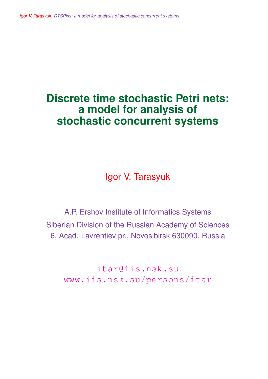# **Discrete time stochastic Petri nets: a model for analysis of stochastic concurrent systems**

Igor V. Tarasyuk

A.P. Ershov Institute of Informatics Systems Siberian Division of the Russian Academy of Sciences 6, Acad. Lavrentiev pr., Novosibirsk 630090, Russia

itar@iis.nsk.su www.iis.nsk.su/persons/itar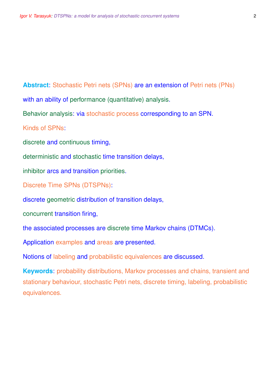**Abstract**: Stochastic Petri nets (SPNs) are an extension of Petri nets (PNs) with an ability of performance (quantitative) analysis.

Behavior analysis: via stochastic process corresponding to an SPN.

Kinds of SPNs:

discrete and continuous timing,

deterministic and stochastic time transition delays,

inhibitor arcs and transition priorities.

Discrete Time SPNs (DTSPNs):

discrete geometric distribution of transition delays,

concurrent transition firing,

the associated processes are discrete time Markov chains (DTMCs).

Application examples and areas are presented.

Notions of labeling and probabilistic equivalences are discussed.

**Keywords**: probability distributions, Markov processes and chains, transient and stationary behaviour, stochastic Petri nets, discrete timing, labeling, probabilistic equivalences.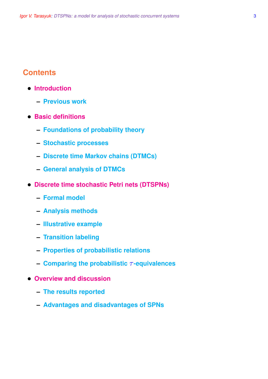# **Contents**

- **Introduction**
	- **– Previous work**
- **Basic definitions**
	- **– Foundations of probability theory**
	- **– Stochastic processes**
	- **– Discrete time Markov chains (DTMCs)**
	- **– General analysis of DTMCs**
- **Discrete time stochastic Petri nets (DTSPNs)**
	- **– Formal model**
	- **– Analysis methods**
	- **– Illustrative example**
	- **– Transition labeling**
	- **– Properties of probabilistic relations**
	- **– Comparing the probabilistic** τ **-equivalences**
- **Overview and discussion**
	- **– The results reported**
	- **– Advantages and disadvantages of SPNs**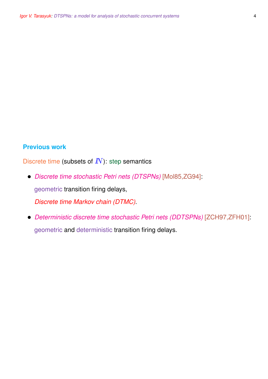# **Previous work**

Discrete time (subsets of  $I\!N$ ): step semantics

- *Discrete time stochastic Petri nets (DTSPNs)* [Mol85,ZG94]: geometric transition firing delays, *Discrete time Markov chain (DTMC)*.
- *Deterministic discrete time stochastic Petri nets (DDTSPNs)* [ZCH97,ZFH01]: geometric and deterministic transition firing delays.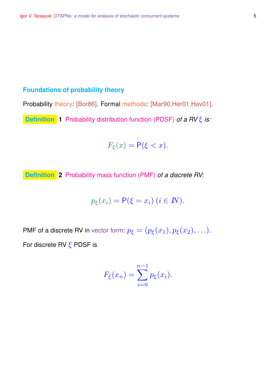# **Foundations of probability theory**

Probability theory: [Bor86]. Formal methods: [Mar90,Her01,Hav01].

**Definition 1** Probability distribution function (PDSF) *of a RV* ξ *is:*

$$
F_{\xi}(x) = \mathsf{P}(\xi < x).
$$

**Definition 2** Probability mass function (PMF) *of a discrete RV:*

$$
p_{\xi}(x_i) = \mathsf{P}(\xi = x_i) \ (i \in I\!N).
$$

PMF of a discrete RV in vector form:  $p_{\xi} = (p_{\xi}(x_1), p_{\xi}(x_2), \ldots)$ . For discrete RV  $\xi$  PDSF is

$$
F_{\xi}(x_n) = \sum_{i=0}^{n-1} p_{\xi}(x_i).
$$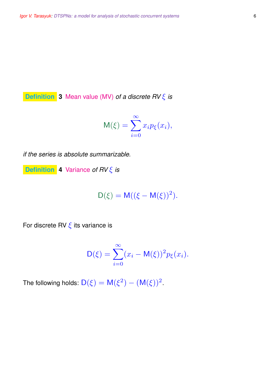**Definition 3** Mean value (MV) *of a discrete RV* ξ *is*

$$
M(\xi) = \sum_{i=0}^{\infty} x_i p_{\xi}(x_i),
$$

*if the series is absolute summarizable.*

**Definition 4** Variance *of RV* ξ *is*

$$
D(\xi) = M((\xi - M(\xi))^2).
$$

For discrete RV  $\xi$  its variance is

$$
D(\xi) = \sum_{i=0}^{\infty} (x_i - M(\xi))^2 p_{\xi}(x_i).
$$

The following holds:  $D(\xi) = M(\xi^2) - (M(\xi))^2$ .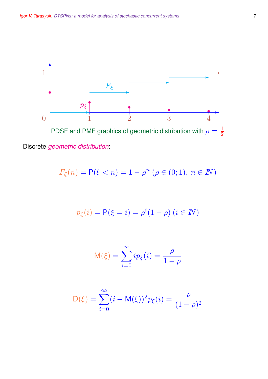

Discrete *geometric distribution*:

$$
F_{\xi}(n) = \mathsf{P}(\xi < n) = 1 - \rho^n \ (\rho \in (0; 1), \ n \in \mathbb{N})
$$

$$
p_{\xi}(i) = P(\xi = i) = \rho^{i}(1 - \rho) (i \in I\!\!N)
$$

$$
\mathsf{M}(\xi) = \sum_{i=0}^{\infty} i p_{\xi}(i) = \frac{\rho}{1-\rho}
$$

$$
D(\xi) = \sum_{i=0}^{\infty} (i - M(\xi))^2 p_{\xi}(i) = \frac{\rho}{(1 - \rho)^2}
$$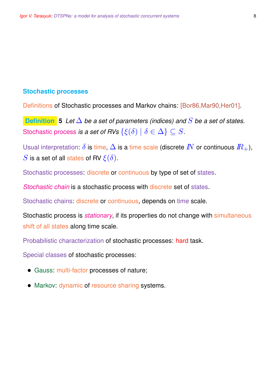### **Stochastic processes**

Definitions of Stochastic processes and Markov chains: [Bor86,Mar90,Her01].

**Definition 5** *Let* ∆ *be a set of parameters (indices) and* S *be a set of states.* Stochastic process *is a set of RVs*  $\{\xi(\delta) \mid \delta \in \Delta\} \subseteq S$ .

Usual interpretation:  $\delta$  is time,  $\Delta$  is a time scale (discrete  $\mathbb{N}$  or continuous  $\mathbb{R}_+$ ), S is a set of all states of RV  $\xi(\delta)$ .

Stochastic processes: discrete or continuous by type of set of states.

*Stochastic chain* is a stochastic process with discrete set of states.

Stochastic chains: discrete or continuous, depends on time scale.

Stochastic process is *stationary*, if its properties do not change with simultaneous shift of all states along time scale.

Probabilistic characterization of stochastic processes: hard task.

Special classes of stochastic processes:

- Gauss: multi-factor processes of nature;
- Markov: dynamic of resource sharing systems.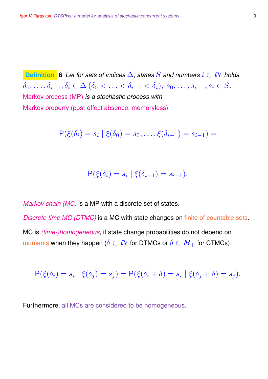**Definition 6** *Let for sets of indices* ∆*, states* S *and numbers* i ∈ IN *holds*  $\delta_0, \ldots, \delta_{i-1}, \delta_i \in \Delta \ (\delta_0 < \ldots < \delta_{i-1} < \delta_i), \ s_0, \ldots, s_{i-1}, s_i \in S.$ Markov process (MP) *is a stochastic process with* Markov property (post-effect absence, memoryless)

$$
\mathsf{P}(\xi(\delta_i) = s_i \mid \xi(\delta_0) = s_0, \dots, \xi(\delta_{i-1}) = s_{i-1}) =
$$

$$
\mathsf{P}(\xi(\delta_i) = s_i \mid \xi(\delta_{i-1}) = s_{i-1}).
$$

*Markov chain (MC)* is a MP with a discrete set of states.

*Discrete time MC (DTMC)* is a MC with state changes on finite of countable sets. MC is *(time-)homogeneous*, if state change probabilities do not depend on moments when they happen ( $\delta \in \mathbb{N}$  for DTMCs or  $\delta \in \mathbb{R}_+$  for CTMCs):

$$
\mathsf{P}(\xi(\delta_i)=s_i\mid \xi(\delta_j)=s_j)=\mathsf{P}(\xi(\delta_i+\delta)=s_i\mid \xi(\delta_j+\delta)=s_j).
$$

Furthermore, all MCs are considered to be homogeneous.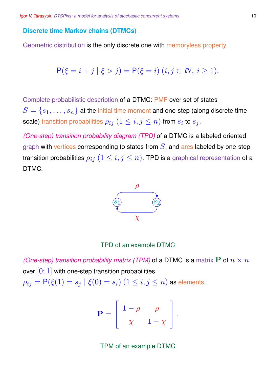### **Discrete time Markov chains (DTMCs)**

Geometric distribution is the only discrete one with memoryless property

$$
P(\xi = i + j \mid \xi > j) = P(\xi = i) \ (i, j \in I\!N, \ i \ge 1).
$$

Complete probabilistic description of a DTMC: PMF over set of states  $S = \{s_1, \ldots, s_n\}$  at the initial time moment and one-step (along discrete time scale) transition probabilities  $\rho_{ij}$   $(1\leq i,j\leq n)$  from  $s_i$  to  $s_j$  .

*(One-step) transition probability diagram (TPD)* of a DTMC is a labeled oriented graph with vertices corresponding to states from  $S$ , and arcs labeled by one-step transition probabilities  $\rho_{ij}$   $(1 \leq i,j \leq n)$ . TPD is a graphical representation of a DTMC.



### TPD of an example DTMC

*(One-step) transition probability matrix (TPM)* of a DTMC is a matrix P of  $n \times n$ over  $[0; 1]$  with one-step transition probabilities  $\rho_{ij} = \mathsf{P}(\xi(1) = s_j \mid \xi(0) = s_i)$   $(1 \leq i,j \leq n)$  as elements.

$$
\mathbf{P} = \left[ \begin{array}{cc} 1 - \rho & \rho \\ \chi & 1 - \chi \end{array} \right].
$$

TPM of an example DTMC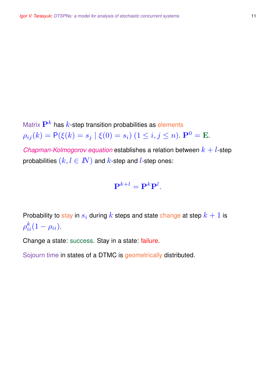Matrix  $\mathbf{P}^{k}$  has  $k$ -step transition probabilities as elements  $\rho_{ij}(k) = P(\xi(k) = s_j | \xi(0) = s_i) (1 \leq i, j \leq n)$ .  $\mathbf{P}^0 = \mathbf{E}$ . *Chapman-Kolmogorov equation* establishes a relation between  $k + l$ -step probabilities  $(k, l \in I\!\!N)$  and k-step and l-step ones:

# $\mathbf{P}^{k+l} = \mathbf{P}^{k} \mathbf{P}^{l}.$

Probability to stay in  $s_i$  during  $k$  steps and state change at step  $k+1$  is  $\rho_{ii}^k(1-\rho_{ii}).$ 

Change a state: success. Stay in a state: failure.

Sojourn time in states of a DTMC is geometrically distributed.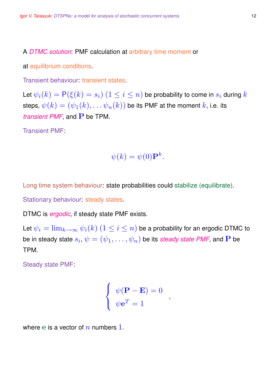A *DTMC solution*: PMF calculation at arbitrary time moment or

at equilibrium conditions.

Transient behaviour: transient states.

Let  $\psi_i(k) = \mathsf{P}(\xi(k) = s_i)$   $(1 \leq i \leq n)$  be probability to come in  $s_i$  during  $k$ steps,  $\psi(k) = (\psi_1(k), \ldots \psi_n(k))$  be its PMF at the moment k, i.e. its *transient PMF*, and **P** be TPM.

Transient PMF:

$$
\psi(k) = \psi(0) \mathbf{P}^k.
$$

Long time system behaviour: state probabilities could stabilize (equilibrate).

Stationary behaviour: steady states.

DTMC is *ergodic*, if steady state PMF exists.

Let  $\psi_i = \lim_{k \to \infty} \psi_i(k)$   $(1 \leq i \leq n)$  be a probability for an ergodic DTMC to be in steady state  $s_i,\psi=(\psi_1,\ldots,\psi_n)$  be its *steady state PMF*, and  ${\bf P}$  be TPM.

Steady state PMF:

$$
\begin{cases}\n\psi(\mathbf{P} - \mathbf{E}) = 0 \\
\psi \mathbf{e}^T = 1\n\end{cases}
$$

where e is a vector of  $n$  numbers 1.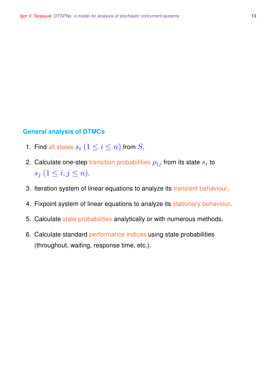### **General analysis of DTMCs**

- 1. Find all states  $s_i$   $(1\leq i\leq n)$  from  $S.$
- 2. Calculate one-step transition probabilities  $\rho_{ij}$  from its state  $s_i$  to  $s_j$   $(1 \leq i, j \leq n)$ .
- 3. Iteration system of linear equations to analyze its transient behaviour.
- 4. Fixpoint system of linear equations to analyze its stationary behaviour.
- 5. Calculate state probabilities analytically or with numerous methods.
- 6. Calculate standard performance indices using state probabilities (throughout, waiting, response time, etc.).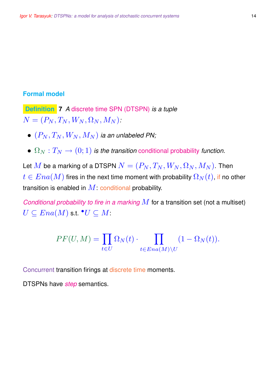### **Formal model**

**Definition 7** *A* discrete time SPN (DTSPN) *is a tuple*  $N = (P_N, T_N, W_N, \Omega_N, M_N)$ .

- $\bullet$   $(P_N, T_N, W_N, M_N)$  *ia an unlabeled PN;*
- $\Omega_N: T_N \to (0,1)$  *is the transition* conditional probability *function*.

Let  $M$  be a marking of a DTSPN  $N = (P_N, T_N, W_N, \Omega_N, M_N)$ . Then  $t \in Ena(M)$  fires in the next time moment with probability  $\Omega_N(t)$ , if no other transition is enabled in  $M$ : conditional probability.

*Conditional probability to fire in a marking* M for a transition set (not a multiset)  $\overline{U} \subseteq Ena(M)$  s.t.  $^\bullet \overline{U} \subseteq \overline{M}$  :

$$
PF(U, M) = \prod_{t \in U} \Omega_N(t) \cdot \prod_{t \in Ena(M) \setminus U} (1 - \Omega_N(t)).
$$

Concurrent transition firings at discrete time moments.

DTSPNs have *step* semantics.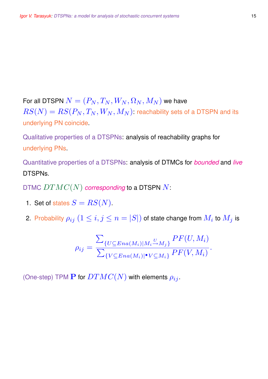For all DTSPN  $N = (P_N, T_N, W_N, \Omega_N, M_N)$  we have  $RS(N) = RS(P_N, T_N, W_N, M_N)$ : reachability sets of a DTSPN and its underlying PN coincide.

Qualitative properties of a DTSPNs: analysis of reachability graphs for underlying PNs.

Quantitative properties of a DTSPNs: analysis of DTMCs for *bounded* and *live* DTSPNs.

DTMC DTMC(N) *corresponding* to a DTSPN N:

- 1. Set of states  $S = RS(N)$ .
- 2. Probability  $\rho_{ij}$   $(1\leq i,j\leq n=|S|)$  of state change from  $M_i$  to  $M_j$  is

$$
\rho_{ij} = \frac{\sum_{\{U \subseteq Ena(M_i)|M_i \stackrel{U}{\rightarrow} M_j\}} PF(U, M_i)}{\sum_{\{V \subseteq Ena(M_i)|^{\bullet}V \subseteq M_i\}} PF(V, M_i)}.
$$

(One-step) TPM **P** for  $DTMC(N)$  with elements  $\rho_{ij}$ .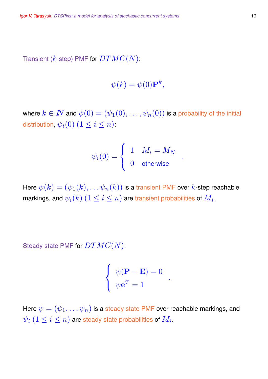Transient ( $k$ -step) PMF for  $DTMC(N)$ :

$$
\psi(k) = \psi(0) \mathbf{P}^k,
$$

where  $k \in I\!\!N$  and  $\psi(0) = (\psi_1(0), \ldots, \psi_n(0))$  is a probability of the initial distribution,  $\psi_i(0)$   $(1\leq i\leq n)$ :

$$
\psi_i(0) = \left\{ \begin{array}{cl} 1 & M_i = M_N \\ 0 & \text{otherwise} \end{array} \right.
$$

.

Here  $\psi(k) = (\psi_1(k), \ldots \psi_n(k))$  is a transient PMF over  $k$ -step reachable markings, and  $\psi_i(k)~(1\leq i\leq n)$  are transient probabilities of  $M_i.$ 

Steady state PMF for  $DTMC(N)$ :

$$
\begin{cases} \psi(\mathbf{P} - \mathbf{E}) = 0 \\ \psi \mathbf{e}^T = 1 \end{cases}
$$

.

Here  $\psi = (\psi_1, \dots \psi_n)$  is a steady state PMF over reachable markings, and  $\psi_i \ (1 \leq i \leq n)$  are steady state probabilities of  $M_i.$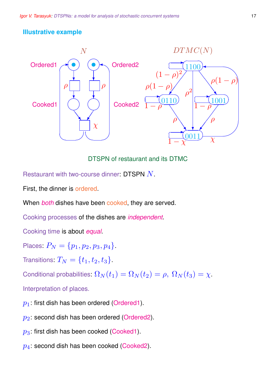# **Illustrative example**



DTSPN of restaurant and its DTMC

Restaurant with two-course dinner: DTSPN  $N$ .

First, the dinner is ordered.

When *both* dishes have been cooked, they are served.

Cooking processes of the dishes are *independent*.

Cooking time is about *equal*.

Places:  $P_N = \{p_1, p_2, p_3, p_4\}.$ 

Transitions:  $T_N = \{t_1, t_2, t_3\}$  .

Conditional probabilities:  $\Omega_N(t_1) = \Omega_N(t_2) = \rho, \ \Omega_N(t_3) = \chi.$ 

Interpretation of places.

- $p_1$ : first dish has been ordered (Ordered1).
- $p_2$ : second dish has been ordered (Ordered2).
- $p_3$ : first dish has been cooked (Cooked1).
- $p_4$ : second dish has been cooked (Cooked2).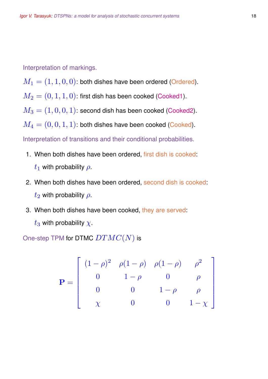Interpretation of markings.

 $M_1 = (1, 1, 0, 0)$ : both dishes have been ordered (Ordered).

 $M_2 = (0, 1, 1, 0)$ : first dish has been cooked (Cooked1).

 $M_3 = (1, 0, 0, 1)$ : second dish has been cooked (Cooked2).

 $M_4 = (0, 0, 1, 1)$ : both dishes have been cooked (Cooked).

Interpretation of transitions and their conditional probabilities.

- 1. When both dishes have been ordered, first dish is cooked:
	- $t_1$  with probability  $\rho$ .
- 2. When both dishes have been ordered, second dish is cooked:  $t_2$  with probability  $\rho$ .
- 3. When both dishes have been cooked, they are served:  $t_3$  with probability  $\chi$ .

One-step TPM for DTMC  $DTMC(N)$  is

$$
\mathbf{P} = \begin{bmatrix} (1 - \rho)^2 & \rho(1 - \rho) & \rho(1 - \rho) & \rho^2 \\ 0 & 1 - \rho & 0 & \rho \\ 0 & 0 & 1 - \rho & \rho \\ \chi & 0 & 0 & 1 - \chi \end{bmatrix}
$$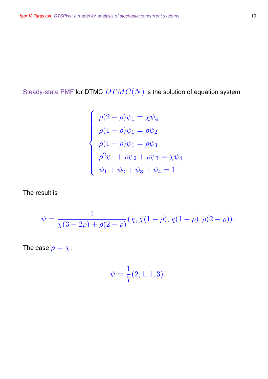Steady-state PMF for DTMC  $DTMC(N)$  is the solution of equation system

$$
\begin{cases}\n\rho(2-\rho)\psi_1 = \chi\psi_4 \\
\rho(1-\rho)\psi_1 = \rho\psi_2 \\
\rho(1-\rho)\psi_1 = \rho\psi_3 \\
\rho^2\psi_1 + \rho\psi_2 + \rho\psi_3 = \chi\psi_4 \\
\psi_1 + \psi_2 + \psi_3 + \psi_4 = 1\n\end{cases}
$$

The result is

$$
\psi = \frac{1}{\chi(3-2\rho) + \rho(2-\rho)}(\chi, \chi(1-\rho), \chi(1-\rho), \rho(2-\rho)).
$$

The case  $\rho = \chi$ :

$$
\psi = \frac{1}{7}(2,1,1,3).
$$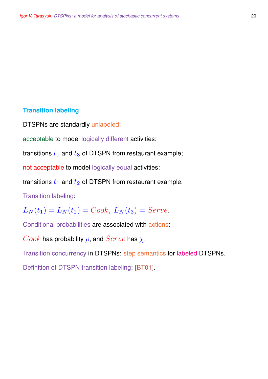# **Transition labeling**

DTSPNs are standardly unlabeled:

acceptable to model logically different activities:

transitions  $t_1$  and  $t_3$  of DTSPN from restaurant example;

not acceptable to model logically equal activities:

transitions  $t_1$  and  $t_2$  of DTSPN from restaurant example.

Transition labeling:

 $L_N(t_1) = L_N(t_2) = Cook, L_N(t_3) = Service.$ 

Conditional probabilities are associated with actions:

Cook has probability  $\rho$ , and  $Service$  has  $\chi$ .

Transition concurrency in DTSPNs: step semantics for labeled DTSPNs.

Definition of DTSPN transition labeling: [BT01].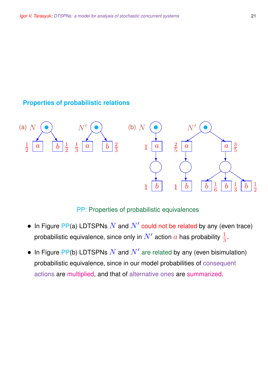## **Properties of probabilistic relations**



### PP: Properties of probabilistic equivalences

- In Figure PP(a) LDTSPNs  $N$  and  $N'$  could not be related by any (even trace) probabilistic equivalence, since only in  $N'$  action  $a$  has probability  $\frac{1}{3}.$
- In Figure PP(b) LDTSPNs  $N$  and  $N'$  are related by any (even bisimulation) probabilistic equivalence, since in our model probabilities of consequent actions are multiplied, and that of alternative ones are summarized.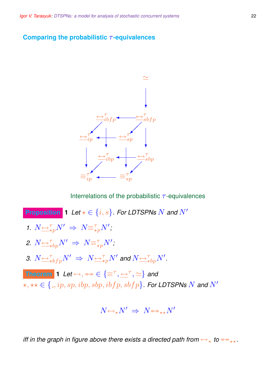### **Comparing the probabilistic** τ **-equivalences**



Interrelations of the probabilistic  $\tau$ -equivalences

**Proposition 1** *Let*  $\star \in \{i, s\}$ *. For LDTSPNs* N and N' 1.  $N \underbrace{\leftrightarrow}^{\tau}_{\star p} N' \Rightarrow N \equiv^{\tau}_{\star p} N'$ ; 2.  $N{\overline{\leftrightarrow}}^{\tau}_{\star bp}N'$   $\Rightarrow$   $N{\overline{\equiv}}^{\tau}_{\star p}N'$ ; 3.  $N$   $\hookrightarrow$   $^{\tau}_{\star bfp}N'$   $\Rightarrow$   $N$   $\hookrightarrow$   $^{\tau}_{\star p}N'$  and  $N$   $\hookrightarrow$   $^{\tau}_{\star bp}N'$ . **Theorem 1** Let  $\leftrightarrow$ ,  $\leftrightarrow$   $\in$   $\{\equiv^{\tau}, \leftarrow^{\tau}, \simeq\}$  and  $\forall x, \forall x \in \{., ip, sp, ibp, sbp, ibfp, sbfp\}$ . For LDTSPNs N and N'

$$
N {\leftrightarrow_{\star}} N' \;\Rightarrow\; N {\leftrightarrow_{\star\star}} N'
$$

*iff in the graph in figure above there exists a directed path from*  $\leftrightarrow$ <sub>\*</sub> *to*  $\leftrightarrow$ <sub>\*\*</sub>.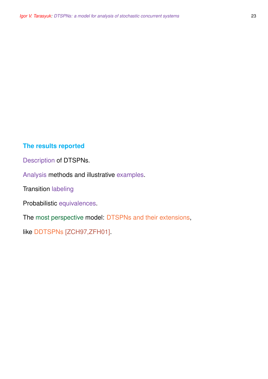### **The results reported**

Description of DTSPNs.

Analysis methods and illustrative examples.

Transition labeling

Probabilistic equivalences.

The most perspective model: DTSPNs and their extensions,

like DDTSPNs [ZCH97,ZFH01].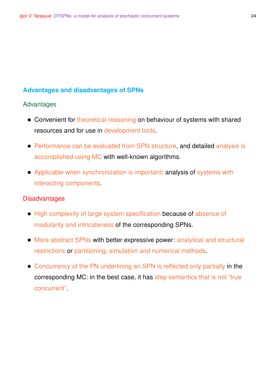## **Advantages and disadvantages of SPNs**

### Advantages

- Convenient for theoretical reasoning on behaviour of systems with shared resources and for use in development tools.
- Performance can be evaluated from SPN structure, and detailed analysis is accomplished using MC with well-known algorithms.
- Applicable when synchronization is important: analysis of systems with interacting components.

### **Disadvantages**

- High complexity of large system specification because of absence of modularity and intricateness of the corresponding SPNs.
- More abstract SPNs with better expressive power: analytical and structural restrictions or partitioning, simulation and numerical methods.
- Concurrency of the PN underlining an SPN is reflected only partially in the corresponding MC: in the best case, it has step semantics that is not "true concurrent".